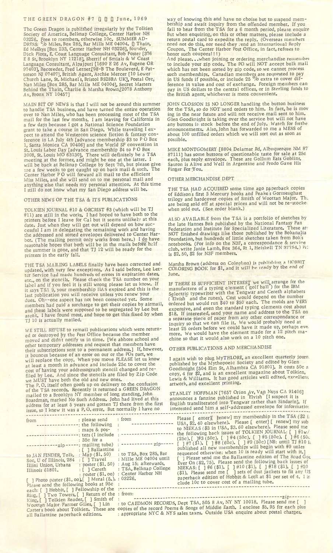# THE GREEN DRAGON #7 Q Q June, 1969

The Green Dragon is published irregularly by the Tolkien Society of America, Belknap College, Center Harbor NH 03226. Free to members, otherwise 10c. SUMMER AD-DRESS: *c/o* Miles, Box 285, Bar Mills ME 04004. <sup>Q</sup> Thain, Ed Meskys [Box 233, Center Harbor NH 03226], founder, Dick Plotz, E. Coast Language Consultant, Bob Foster [376 E 8 St, Brooklyn NY 11218], Sherrif of Smials & W Coast Language Consultant, Alpajpuri [1690 E 26 Av, Eugene OR 97403], Recoreder, Fred Lerner,[98-B The Bouleverd, E Patterson NJ 07407], British Agent, Archie Mercer [10 Lower Church Lane, St. Michael's, Bristol BS28BA UK], Postal Orc, Nan Miles [Box 285, Bar Mills ME 04004], Secret Masters Behind the Thain, Charlie & Marsha Brown,[2078 Anthony Av, Bronx NY 10457]

MAIN BIT OF NEWS is that I will not be around this summer to handle TSA business, and have turned the entire operation over to Nan Miles, who has been processing most of the TSA mail for the last few months. I am leaving for California in a few days because I got a National Science Foundation grant to take a course in San Diego. While traveling I expect to attend the Westercon science fiction & fantasy conference in LA July 4th [advance membership \$3 to P O Box 1, Santa Monica CA 90406] and the World SF convention in St. Louis Labor Day [advance membership \$4 to P O Box 3008, St. Louis MO 63130]. There will definitely be a TSA meeting at the former, and might be one at the latter. I will be back at Belknap College by Sept 7th, but please give me a few weeks to get caught up on back mail & such. The Center Harbor PO will forward all mail to the efficient Miss Miles, and she will send on to me personal mail and anything else that needs my personal attention. At this time I still do not know what my San Diego address will be.

## OTHER NEWS OF THE TSA & ITS PUBLICATIONS

TOLKIEN JOURNAL #10 & ORCRIST #3 (which will be TJ #11) are still in the works. I had hoped to have both to the printers before I leave for Cal but it seems unlikely at this date. Just when they will get out will depend on how successful I am in delegating the remaining work and having the addressed and sorted envelopes delivered to Center Harbor. (The mailing permit only works from here.) I do have reasonable hopes that both will be in the mails before helf the summer is gone, and that TJ 12 will be ready for the printers in the early fall.

THE TSA MAILING LABELS finally have been corrected and updated, with very few exceptions. As I said before, Lee Letter Service had made hundreds of errors in expiration dates, etc., on the stencils. Please check the TSA number on your label and if you feel it is still wrong please let us know. If it says TSA 9, your membership HAS expired and this is the last publication you will receive unless you renew your dues. Oh--one aspect has not been corrected yet. Some members had paid a surcharge to get their copies by airmail, and these labels were supposed to be segregated by Lee but aren't. I have found most, and hope to get this fixed by when TJ 10 is actually mailed.

WE STILL REFUSE to remail publications which were returned or destroyed by the Pest Office because the member moved and didn't notify us in time. [We abhore school and other temporary addresses and request that members have their subscriptions sent to a permanent address.] If, however, it bounces because of an error on our or the POs part, we will replace the copy. When you move PLEASE let us know at least a month in advance and include 25c to cover the cost of having your addressograph stencil changed and refiled by Lee. And since the stencils are filed by Zip Code we MUST have both the old and new ones. The P. O. itself often goofs up on delivery to the confusion of the TSA records. Recently it returned a GREEN DRAGON mailed to a Brooklyn NY member of long standing, John Boardman, marked No Such Address. John had lived at this address for at least 5 years and gotten TJ there from the first issue, so I knew it was a P. O. error. But normally I have no

: from

: 03226.

------------ zip-----: to TSA, Box 285, Bar : Mille ME 04004 until : Aug 15; afterwards, : TSA, Belknap College Center Harbor NH

<u>\_\_\_\_\_\_\_\_\_\_\_\_\_</u>

| from                    | : please send            |
|-------------------------|--------------------------|
|                         | : the following          |
|                         | : maps & pos-            |
|                         | : ters (I include        |
|                         | : 35c for a              |
| $zip -$                 | : mailing tube)          |
|                         | : [ ] Ballantine         |
| to JAN FINDER, Tolk.    | : Map $(\$1, 50)$        |
| Soc, U of Illinois, 284 | : [ ] Travel             |
| Illini Union, Urbana    | : poster (\$1.50)        |
| Illinois 61801.         | $\lceil \ \rceil$ Cereth |
|                         | : poster (\$1.00)        |

 $[$  ] Photo poster (\$1.00). ] Mural (5.).  $[$ ] Photo poster  $(\phi_1, \phi_2)$  hease send the following books at 95c each: [ ] Hobbit, [ ] Fellowship of the Ring, [ ] Two Towers, [ ] Return of the King, [ ] Tolkien Reader, [ ] Smith of Woottan Major, 'Farmer Giles, [ ] Lin Carter's book about Tolkien. These are all Ballantine paperback editions.

way of knowing this and have no choise but to suspend membership and await inquiry from the offended member. If you fail to hear from the TSA for a 6 month period, please enquire But when enquiring, on this or other matters, please include a return postal card to expedite the reply. (Overseas members need not do this, nor need they rend an International Reply Coupon. The Center Harbor Post Office, in fact, refuses to honor such coupons!!!)

And please.. .when joining or ordering merchandise remember to include your zip code. The PO will NOT accept bulk mail which has not been sorted by zip code, so we cannot process such memberships. Canadian members are requested to pay in US funds if possible, or include 25 °/o extra to cover difference in value and cost of exchange. Foreign members can pay in US dollars to the central offices, or in Sterling funds to the British agent, whichever is more convenient.

JOHN CLOSSON IS NO LONGER handling the button business for the TSA, so do NOT send orders to him. In fact, he is mov ing in the near future and will not receive mail sent to him. Glen Goodknight is taking over the service but will not have any buttons in stock before the end of July. Watch for furthe announcements. Also, John has forwarded to me a MESS of about 100 unfilled orders which we will sort out as soon as possible.

MIKE MONTGOMERY [8804 Delamar Rd, Albuquerque NM 87' 87111] has some buttons of questionable taste for sale at 25c each, plus reply envelope. These are Gollum Eats Goblins, Sauron is Alive and Well in Argentine and Frodo Gave His Finger Bor You.

# OTHER MERCHANDISE DEPT

THE TSA HAD ACQUIRED some time ago paperback copies of Eddison's first 3 Mercury books and Peakes Gormenghast trilogy and hardcover copies of Smith of Woottan Major. The are being sold off at special prices and will not be re-stocke< when sold out. (See order blank.)

ALSO AVAILABLE from the TSA is a portfolio of sketches by the late Hannes Bok published by the National Fantasy Fan Federation and Institute for Specialized Literature. These are NOT finished drawings like those published by the Bokanalia Foundation, but hundreds of little sketches taken from Boks notebooks. (For info on the N3F, a correspondance & service club, write Janie Lamb, Box 364, Rt 1, Heiskell TN 37754.) PH. is \$2. 50, \$2 for N3F members.

Marsha Brown (address on Colophon) is publishing a HOBBIT COLORING BOOK for \$1, and it will be ready by the end of June.

IF THERE IS SUFFICIENT INTEREST we will,arrange for the. manufacture of a typing element ("golf ball") for the IBM Selectric typewriter with the Tengwar and Cereth alphabets<br>('Elvish" and the runes). Cost would depend on the number ordered but would run \$40 to \$50 each. The molds are VERY expensive, and even the standard typing elements cost about \$18. If interested, send your name and address to the TSA on a separate piece of paper from any other correspondance or inquiry so that we can file it. We would probably need at least 25 orders before we could have it made up, perhaps eve. more. We would have the element made for a 12 pitch machine so that it would also work on a 10 pitch one.

### OTHER PUBLICATIONS AND MERCHANDISE

I again wish to plug MyTHLORE, an excellent quarterly journ. published by the Mythopoeic Society and edited by Glen Goodknight [504 Elm St, Alhambra CA 91801], It costs 50c a copy, 4 for \$2, and is an excellent magazine about Tolkien, Lewis & Williams. It has good articles well edited, excellent artwork, and excellent printing.

STANLEY HOFFMAN [7657 Orion Av, Van Nuys CA 91406] announces a fanzine published in Elvish [I suspect it is English transliterated into Tengwar rather than Sindarin]. If interested send him a self-addressed envelope for information

Please [ enter][ **Jenew]** my membership in the TSA (\$2 ii USA, \$2. 40 elsewhere). Please [ enter] [ renew] my sub to NIEKAS (\$3 in USA, \$3. 60 elsewhere). Please send me the following back issues of TOLKIEN JOURNAL: [ ] #lw/ (25c). [ ]#3 (50c). [ ]#4 (50c). [ ]#5 (50c). [ ]#6 (50c).  $\begin{bmatrix} 1 & 47 & 1.6 \end{bmatrix}$ . [ ]  $\frac{1}{4}$ 8 (60c). [ ]  $\frac{1}{4}$ 9 (50c) [NB: until TJ  $\frac{1}{4}$ 10 it published all new memberships will begin with #9 unles requested otherwise; when 10 is ready will start with it.]  $\lceil \cdot \rceil$  Please send me the Ballantine edition of The Road Goe Ever On (\$2.75). Please send the following back issues of NIEKAS: [ ] #6 (\$1). [ ] #10 (\$1). [ ] #18 (\$1). [ ] #20 (\$1). Please send me [ ] sets of dust jackets to fit any US paperback edition of Hobbit & LotR at \$1 per set of 4. I in elude 10c to cover cost of a mailing tube.

: from: . . \_\_\_\_\_\_\_\_\_\_\_\_\_\_\_\_\_\_\_\_\_\_\_\_\_\_\_\_\_\_\_\_\_\_\_\_\_\_\_\_\_\_\_\_\_\_\_\_\_\_\_\_\_\_\_\_ zip--------- : to CAEDMON RECORDS, Dept TSA, 505 8 Av, NY NY 10018. Please send me [ ] copies of the record Poems & Songs of Middle Earth. I enclose \$5. 95 for each plus appropriate NYC & NYS sales taxes. Outside USA enquire about postal charges.